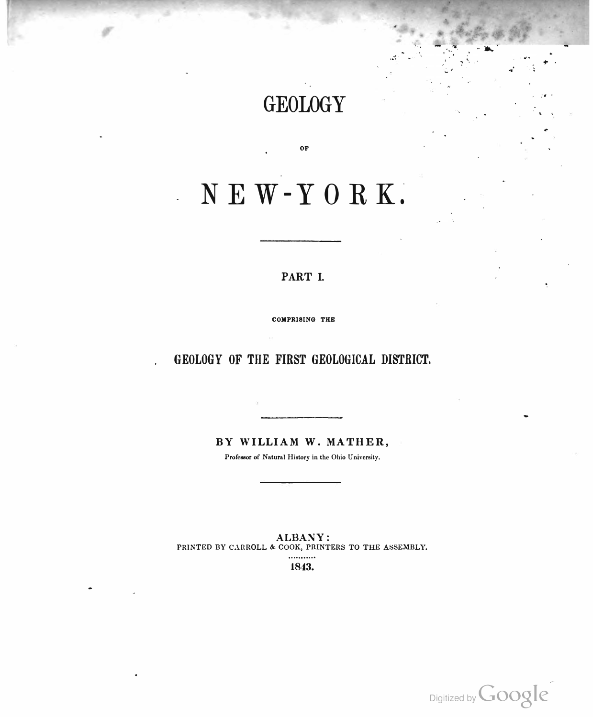## GEOLOGY

.. .. . ...

. ...

••

;'# • ' ·.

OF

# NEW-YORK.

#### PART I.

COMPRISING THE

### GEOLOGY OF THE FIRST GEOLOGICAL DISTRICT.

BY WILLIAM W. MATHER,

Professor of Natural History in the Ohio University.

ALBANY: PRINTED BY CARROLL & COOK, PRINTERS TO THE ASSEMBLY. 1843.